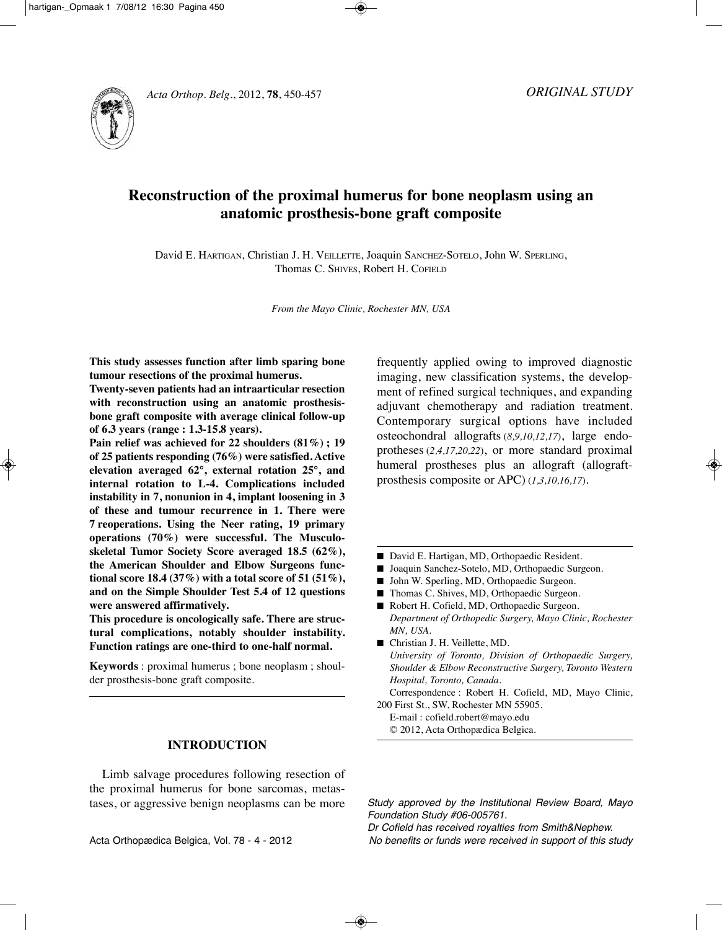



# **Reconstruction of the proximal humerus for bone neoplasm using an anatomic prosthesis-bone graft composite**

David E. HARTigAN, Christian J. H. VEillETTE, Joaquin SANCHEz-SOTElO, John W. SpERliNg, Thomas C. SHIVES, Robert H. COFIELD

*From the Mayo Clinic, Rochester MN, USA*

**This study assesses function after limb sparing bone tumour resections of the proximal humerus.**

**Twenty-seven patients had an intraarticular resection with reconstruction using an anatomic prosthesisbone graft composite with average clinical follow-up of 6.3 years (range : 1.3-15.8 years).**

**Pain relief was achieved for 22 shoulders (81%) ; 19 of 25 patients responding (76%) were satisfied. Active elevation averaged 62°, external rotation 25°, and internal rotation to L-4. Complications included instability in 7, nonunion in 4, implant loosening in 3 of these and tumour recurrence in 1. There were 7 reoperations. Using the Neer rating, 19 primary operations (70%) were successful. The Musculoskeletal Tumor Society Score averaged 18.5 (62%), the American Shoulder and Elbow Surgeons functional score 18.4 (37%) with a total score of 51 (51%), and on the Simple Shoulder Test 5.4 of 12 questions were answered affirmatively.**

**This procedure is oncologically safe. There are structural complications, notably shoulder instability. Function ratings are one-third to one-half normal.**

**Keywords** : proximal humerus ; bone neoplasm ; shoulder prosthesis-bone graft composite.

## **INTRODUCTION**

Limb salvage procedures following resection of the proximal humerus for bone sarcomas, metastases, or aggressive benign neoplasms can be more frequently applied owing to improved diagnostic imaging, new classification systems, the development of refined surgical techniques, and expanding adjuvant chemotherapy and radiation treatment. Contemporary surgical options have included osteochondral allografts (*8,9,10,12,17*), large endoprotheses (*2,4,17,20,22*), or more standard proximal humeral prostheses plus an allograft (allograftprosthesis composite or ApC) (*1,3,10,16,17*).

- David E. Hartigan, MD, Orthopaedic Resident.
- Joaquin Sanchez-Sotelo, MD, Orthopaedic Surgeon.
- John W. Sperling, MD, Orthopaedic Surgeon.
- Thomas C. Shives, MD, Orthopaedic Surgeon.
- Robert H. Cofield, MD, Orthopaedic Surgeon. *Department of Orthopedic Surgery, Mayo Clinic, Rochester MN, USA.*
- Christian J. H. Veillette, MD. *University of Toronto, Division of Orthopaedic Surgery, Shoulder & Elbow Reconstructive Surgery, Toronto Western Hospital, Toronto, Canada.*
- Correspondence : Robert H. Cofield, MD, Mayo Clinic, 200 First St., SW, Rochester MN 55905.
	- E-mail : cofield.robert@mayo.edu
	- © 2012, Acta Orthopædica Belgica.

Study approved by the Institutional Review Board, Mayo Foundation Study #06-005761.

Acta Orthopædica Belgica, Vol. 78 - 4 - 2012 No benefits or funds were received in support of this study Dr Cofield has received royalties from Smith&Nephew.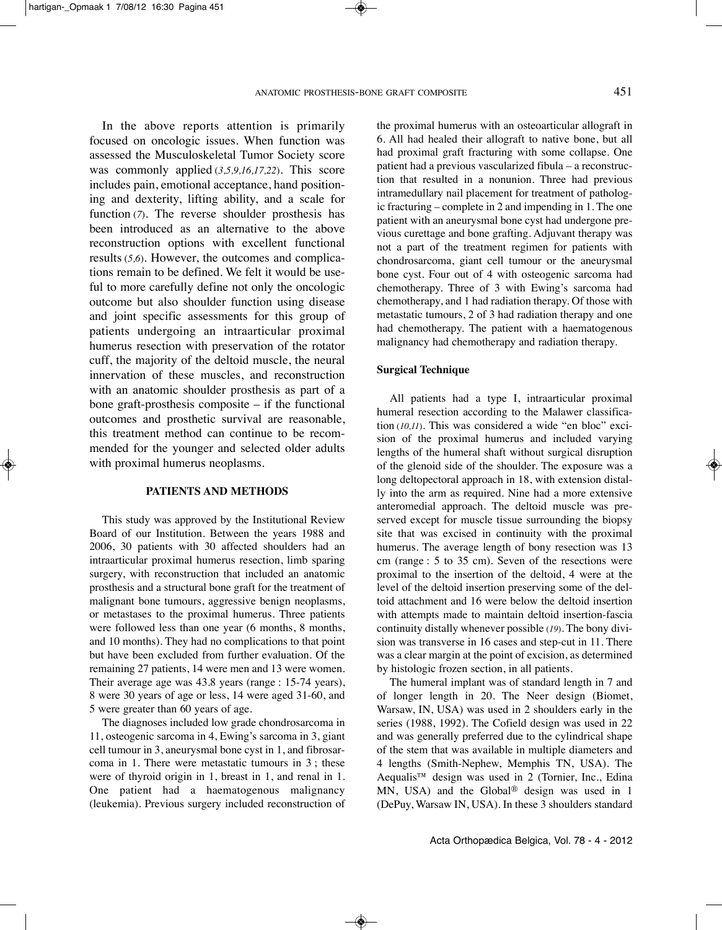In the above reports attention is primarily focused on oncologic issues. When function was assessed the Musculoskeletal Tumor Society score was commonly applied (*3,5,9,16,17,22*). This score includes pain, emotional acceptance, hand positioning and dexterity, lifting ability, and a scale for function (*7*). The reverse shoulder prosthesis has been introduced as an alternative to the above reconstruction options with excellent functional results (*5,6*). However, the outcomes and complications remain to be defined. We felt it would be useful to more carefully define not only the oncologic outcome but also shoulder function using disease and joint specific assessments for this group of patients undergoing an intraarticular proximal humerus resection with preservation of the rotator cuff, the majority of the deltoid muscle, the neural innervation of these muscles, and reconstruction with an anatomic shoulder prosthesis as part of a bone graft-prosthesis composite – if the functional outcomes and prosthetic survival are reasonable, this treatment method can continue to be recommended for the younger and selected older adults with proximal humerus neoplasms.

### **PATIENTS AND METHODS**

This study was approved by the Institutional Review Board of our Institution. Between the years 1988 and 2006, 30 patients with 30 affected shoulders had an intraarticular proximal humerus resection, limb sparing surgery, with reconstruction that included an anatomic prosthesis and a structural bone graft for the treatment of malignant bone tumours, aggressive benign neoplasms, or metastases to the proximal humerus. Three patients were followed less than one year (6 months, 8 months, and 10 months). They had no complications to that point but have been excluded from further evaluation. Of the remaining 27 patients, 14 were men and 13 were women. Their average age was 43.8 years (range : 15-74 years), 8 were 30 years of age or less, 14 were aged 31-60, and 5 were greater than 60 years of age.

The diagnoses included low grade chondrosarcoma in 11, osteogenic sarcoma in 4, Ewing's sarcoma in 3, giant cell tumour in 3, aneurysmal bone cyst in 1, and fibrosarcoma in 1. There were metastatic tumours in 3 ; these were of thyroid origin in 1, breast in 1, and renal in 1. One patient had a haematogenous malignancy (leukemia). Previous surgery included reconstruction of the proximal humerus with an osteoarticular allograft in 6. All had healed their allograft to native bone, but all had proximal graft fracturing with some collapse. One patient had a previous vascularized fibula – a reconstruction that resulted in a nonunion. Three had previous intramedullary nail placement for treatment of pathologic fracturing – complete in 2 and impending in 1. The one patient with an aneurysmal bone cyst had undergone previous curettage and bone grafting. Adjuvant therapy was not a part of the treatment regimen for patients with chondrosarcoma, giant cell tumour or the aneurysmal bone cyst. Four out of 4 with osteogenic sarcoma had chemotherapy. Three of 3 with Ewing's sarcoma had chemotherapy, and 1 had radiation therapy. Of those with metastatic tumours, 2 of 3 had radiation therapy and one had chemotherapy. The patient with a haematogenous malignancy had chemotherapy and radiation therapy.

#### **Surgical Technique**

All patients had a type I, intraarticular proximal humeral resection according to the Malawer classification (*10,11*). This was considered a wide "en bloc" excision of the proximal humerus and included varying lengths of the humeral shaft without surgical disruption of the glenoid side of the shoulder. The exposure was a long deltopectoral approach in 18, with extension distally into the arm as required. Nine had a more extensive anteromedial approach. The deltoid muscle was preserved except for muscle tissue surrounding the biopsy site that was excised in continuity with the proximal humerus. The average length of bony resection was 13 cm (range : 5 to 35 cm). Seven of the resections were proximal to the insertion of the deltoid, 4 were at the level of the deltoid insertion preserving some of the deltoid attachment and 16 were below the deltoid insertion with attempts made to maintain deltoid insertion-fascia continuity distally whenever possible (*19*). The bony division was transverse in 16 cases and step-cut in 11. There was a clear margin at the point of excision, as determined by histologic frozen section, in all patients.

The humeral implant was of standard length in 7 and of longer length in 20. The Neer design (Biomet, Warsaw, iN, USA) was used in 2 shoulders early in the series (1988, 1992). The Cofield design was used in 22 and was generally preferred due to the cylindrical shape of the stem that was available in multiple diameters and 4 lengths (Smith-Nephew, Memphis TN, USA). The Aequalis™ design was used in 2 (Tornier, Inc., Edina MN, USA) and the global® design was used in 1 (DePuy, Warsaw IN, USA). In these 3 shoulders standard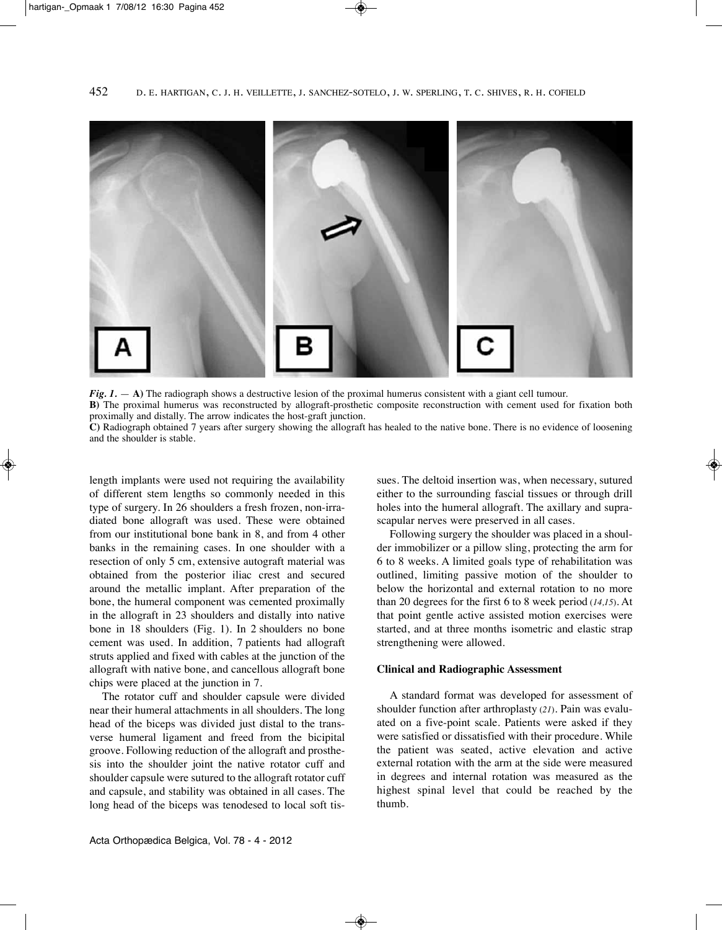

*Fig. 1.* — **A)** The radiograph shows a destructive lesion of the proximal humerus consistent with a giant cell tumour.

**B)** The proximal humerus was reconstructed by allograft-prosthetic composite reconstruction with cement used for fixation both proximally and distally. The arrow indicates the host-graft junction.

**C)** Radiograph obtained 7 years after surgery showing the allograft has healed to the native bone. There is no evidence of loosening and the shoulder is stable.

length implants were used not requiring the availability of different stem lengths so commonly needed in this type of surgery. in 26 shoulders a fresh frozen, non-irradiated bone allograft was used. These were obtained from our institutional bone bank in 8, and from 4 other banks in the remaining cases. In one shoulder with a resection of only 5 cm, extensive autograft material was obtained from the posterior iliac crest and secured around the metallic implant. After preparation of the bone, the humeral component was cemented proximally in the allograft in 23 shoulders and distally into native bone in 18 shoulders (Fig. 1). in 2 shoulders no bone cement was used. in addition, 7 patients had allograft struts applied and fixed with cables at the junction of the allograft with native bone, and cancellous allograft bone chips were placed at the junction in 7.

The rotator cuff and shoulder capsule were divided near their humeral attachments in all shoulders. The long head of the biceps was divided just distal to the transverse humeral ligament and freed from the bicipital groove. Following reduction of the allograft and prosthesis into the shoulder joint the native rotator cuff and shoulder capsule were sutured to the allograft rotator cuff and capsule, and stability was obtained in all cases. The long head of the biceps was tenodesed to local soft tissues. The deltoid insertion was, when necessary, sutured either to the surrounding fascial tissues or through drill holes into the humeral allograft. The axillary and suprascapular nerves were preserved in all cases.

Following surgery the shoulder was placed in a shoulder immobilizer or a pillow sling, protecting the arm for 6 to 8 weeks. A limited goals type of rehabilitation was outlined, limiting passive motion of the shoulder to below the horizontal and external rotation to no more than 20 degrees for the first 6 to 8 week period (*14,15*). At that point gentle active assisted motion exercises were started, and at three months isometric and elastic strap strengthening were allowed.

## **Clinical and Radiographic Assessment**

A standard format was developed for assessment of shoulder function after arthroplasty (21). Pain was evaluated on a five-point scale. Patients were asked if they were satisfied or dissatisfied with their procedure. While the patient was seated, active elevation and active external rotation with the arm at the side were measured in degrees and internal rotation was measured as the highest spinal level that could be reached by the thumb.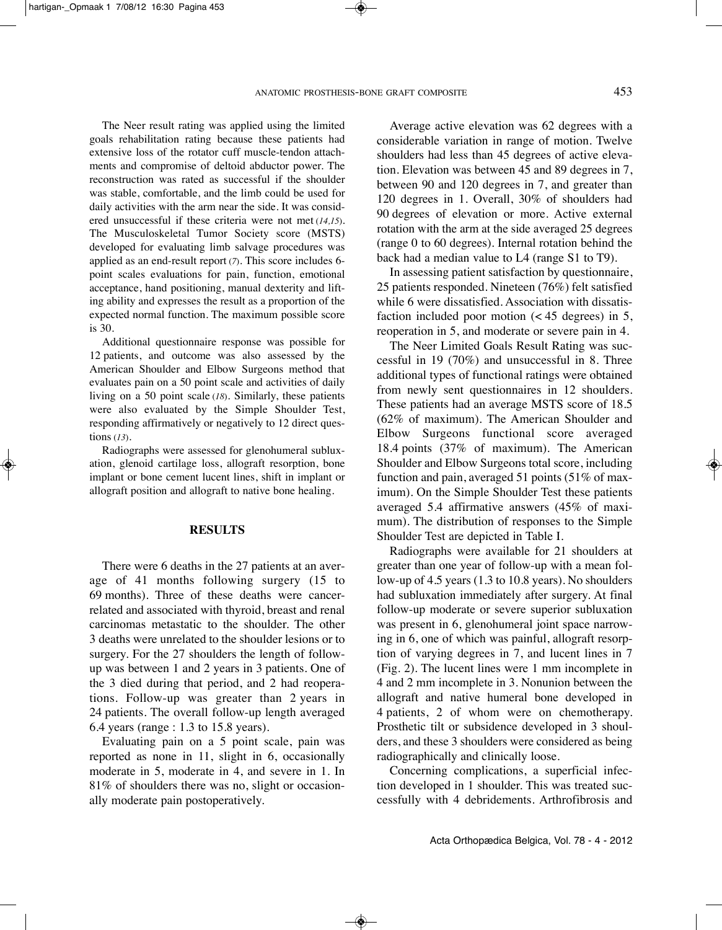The Neer result rating was applied using the limited goals rehabilitation rating because these patients had extensive loss of the rotator cuff muscle-tendon attachments and compromise of deltoid abductor power. The reconstruction was rated as successful if the shoulder was stable, comfortable, and the limb could be used for daily activities with the arm near the side. It was considered unsuccessful if these criteria were not met (*14,15*). The Musculoskeletal Tumor Society score (MSTS) developed for evaluating limb salvage procedures was applied as an end-result report (*7*). This score includes 6 point scales evaluations for pain, function, emotional acceptance, hand positioning, manual dexterity and lifting ability and expresses the result as a proportion of the expected normal function. The maximum possible score is 30.

Additional questionnaire response was possible for 12 patients, and outcome was also assessed by the American Shoulder and Elbow Surgeons method that evaluates pain on a 50 point scale and activities of daily living on a 50 point scale (*18*). Similarly, these patients were also evaluated by the Simple Shoulder Test, responding affirmatively or negatively to 12 direct questions (*13*).

Radiographs were assessed for glenohumeral subluxation, glenoid cartilage loss, allograft resorption, bone implant or bone cement lucent lines, shift in implant or allograft position and allograft to native bone healing.

# **RESULTS**

There were 6 deaths in the 27 patients at an average of 41 months following surgery (15 to 69 months). Three of these deaths were cancerrelated and associated with thyroid, breast and renal carcinomas metastatic to the shoulder. The other 3 deaths were unrelated to the shoulder lesions or to surgery. For the 27 shoulders the length of followup was between 1 and 2 years in 3 patients. One of the 3 died during that period, and 2 had reoperations. Follow-up was greater than 2 years in 24 patients. The overall follow-up length averaged 6.4 years (range : 1.3 to 15.8 years).

Evaluating pain on a 5 point scale, pain was reported as none in 11, slight in 6, occasionally moderate in 5, moderate in 4, and severe in 1. In 81% of shoulders there was no, slight or occasionally moderate pain postoperatively.

Average active elevation was 62 degrees with a considerable variation in range of motion. Twelve shoulders had less than 45 degrees of active elevation. Elevation was between 45 and 89 degrees in 7, between 90 and 120 degrees in 7, and greater than 120 degrees in 1. Overall, 30% of shoulders had 90 degrees of elevation or more. Active external rotation with the arm at the side averaged 25 degrees (range  $0$  to  $60$  degrees). Internal rotation behind the back had a median value to L4 (range S1 to T9).

In assessing patient satisfaction by questionnaire, 25 patients responded. Nineteen (76%) felt satisfied while 6 were dissatisfied. Association with dissatisfaction included poor motion (< 45 degrees) in 5, reoperation in 5, and moderate or severe pain in 4.

The Neer Limited Goals Result Rating was successful in 19 (70%) and unsuccessful in 8. Three additional types of functional ratings were obtained from newly sent questionnaires in 12 shoulders. These patients had an average MSTS score of 18.5 (62% of maximum). The American Shoulder and Elbow Surgeons functional score averaged 18.4 points (37% of maximum). The American Shoulder and Elbow Surgeons total score, including function and pain, averaged 51 points (51% of maximum). On the Simple Shoulder Test these patients averaged 5.4 affirmative answers (45% of maximum). The distribution of responses to the Simple Shoulder Test are depicted in Table I.

Radiographs were available for 21 shoulders at greater than one year of follow-up with a mean follow-up of 4.5 years (1.3 to 10.8 years). No shoulders had subluxation immediately after surgery. At final follow-up moderate or severe superior subluxation was present in 6, glenohumeral joint space narrowing in 6, one of which was painful, allograft resorption of varying degrees in 7, and lucent lines in 7 (Fig. 2). The lucent lines were 1 mm incomplete in 4 and 2 mm incomplete in 3. Nonunion between the allograft and native humeral bone developed in 4 patients, 2 of whom were on chemotherapy. prosthetic tilt or subsidence developed in 3 shoulders, and these 3 shoulders were considered as being radiographically and clinically loose.

Concerning complications, a superficial infection developed in 1 shoulder. This was treated successfully with 4 debridements. Arthrofibrosis and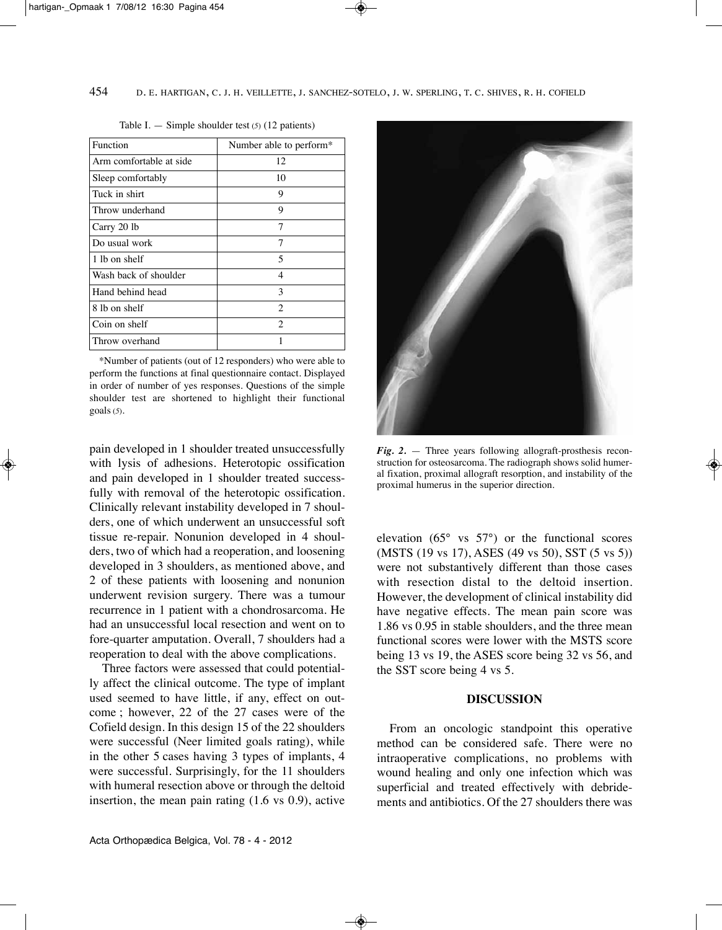| <b>Function</b>         | Number able to perform* |
|-------------------------|-------------------------|
| Arm comfortable at side | 12                      |
| Sleep comfortably       | 10                      |
| Tuck in shirt           | 9                       |
| Throw underhand         | 9                       |
| Carry 20 lb             | 7                       |
| Do usual work           | 7                       |
| 1 lb on shelf           | 5                       |
| Wash back of shoulder   | 4                       |
| Hand behind head        | 3                       |
| 8 lb on shelf           | $\overline{c}$          |
| Coin on shelf           | $\overline{c}$          |
| Throw overhand          | 1                       |

Table I.  $-$  Simple shoulder test ( $5$ ) (12 patients)

\*Number of patients (out of 12 responders) who were able to perform the functions at final questionnaire contact. Displayed in order of number of yes responses. Questions of the simple shoulder test are shortened to highlight their functional goals (*5*).

pain developed in 1 shoulder treated unsuccessfully with lysis of adhesions. Heterotopic ossification and pain developed in 1 shoulder treated successfully with removal of the heterotopic ossification. Clinically relevant instability developed in 7 shoulders, one of which underwent an unsuccessful soft tissue re-repair. Nonunion developed in 4 shoulders, two of which had a reoperation, and loosening developed in 3 shoulders, as mentioned above, and 2 of these patients with loosening and nonunion underwent revision surgery. There was a tumour recurrence in 1 patient with a chondrosarcoma. He had an unsuccessful local resection and went on to fore-quarter amputation. Overall, 7 shoulders had a reoperation to deal with the above complications.

Three factors were assessed that could potentially affect the clinical outcome. The type of implant used seemed to have little, if any, effect on outcome ; however, 22 of the 27 cases were of the Cofield design. In this design 15 of the 22 shoulders were successful (Neer limited goals rating), while in the other 5 cases having 3 types of implants, 4 were successful. Surprisingly, for the 11 shoulders with humeral resection above or through the deltoid insertion, the mean pain rating (1.6 vs 0.9), active



*Fig. 2.* — Three years following allograft-prosthesis reconstruction for osteosarcoma. The radiograph shows solid humeral fixation, proximal allograft resorption, and instability of the proximal humerus in the superior direction.

elevation (65° vs 57°) or the functional scores (MSTS (19 vs 17), ASES (49 vs 50), SST (5 vs 5)) were not substantively different than those cases with resection distal to the deltoid insertion. However, the development of clinical instability did have negative effects. The mean pain score was 1.86 vs 0.95 in stable shoulders, and the three mean functional scores were lower with the MSTS score being 13 vs 19, the ASES score being 32 vs 56, and the SST score being 4 vs 5.

# **DISCUSSION**

From an oncologic standpoint this operative method can be considered safe. There were no intraoperative complications, no problems with wound healing and only one infection which was superficial and treated effectively with debridements and antibiotics. Of the 27 shoulders there was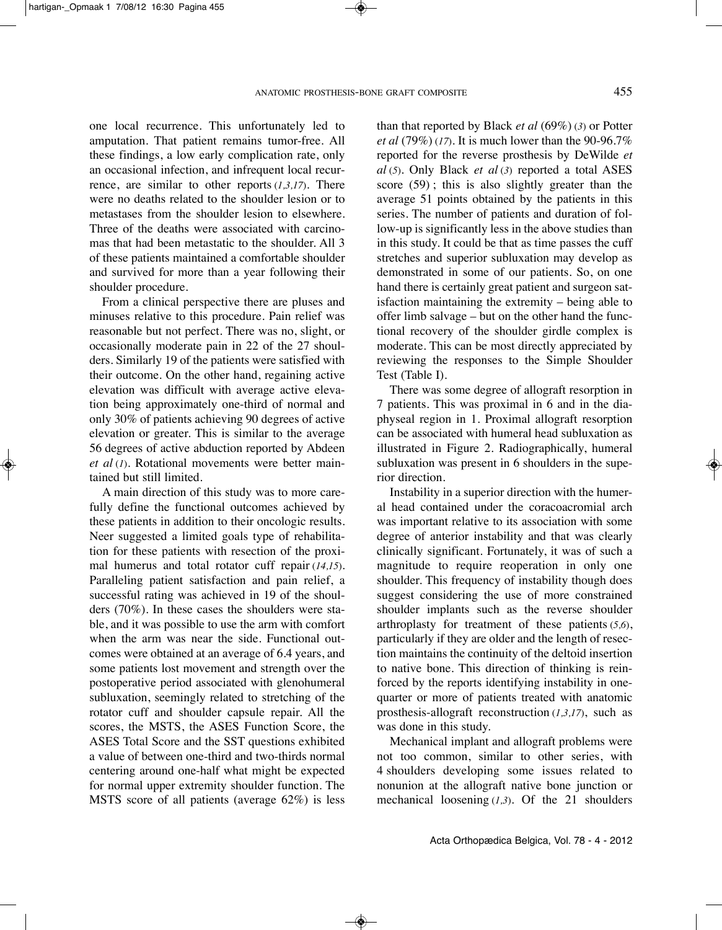one local recurrence. This unfortunately led to amputation. That patient remains tumor-free. All these findings, a low early complication rate, only an occasional infection, and infrequent local recurrence, are similar to other reports (*1,3,17*). There were no deaths related to the shoulder lesion or to metastases from the shoulder lesion to elsewhere. Three of the deaths were associated with carcinomas that had been metastatic to the shoulder. All 3 of these patients maintained a comfortable shoulder and survived for more than a year following their shoulder procedure.

From a clinical perspective there are pluses and minuses relative to this procedure. Pain relief was reasonable but not perfect. There was no, slight, or occasionally moderate pain in 22 of the 27 shoulders. Similarly 19 of the patients were satisfied with their outcome. On the other hand, regaining active elevation was difficult with average active elevation being approximately one-third of normal and only 30% of patients achieving 90 degrees of active elevation or greater. This is similar to the average 56 degrees of active abduction reported by Abdeen *et al* (*1*). Rotational movements were better maintained but still limited.

A main direction of this study was to more carefully define the functional outcomes achieved by these patients in addition to their oncologic results. Neer suggested a limited goals type of rehabilitation for these patients with resection of the proximal humerus and total rotator cuff repair (*14,15*). paralleling patient satisfaction and pain relief, a successful rating was achieved in 19 of the shoulders (70%). in these cases the shoulders were stable, and it was possible to use the arm with comfort when the arm was near the side. Functional outcomes were obtained at an average of 6.4 years, and some patients lost movement and strength over the postoperative period associated with glenohumeral subluxation, seemingly related to stretching of the rotator cuff and shoulder capsule repair. All the scores, the MSTS, the ASES Function Score, the ASES Total Score and the SST questions exhibited a value of between one-third and two-thirds normal centering around one-half what might be expected for normal upper extremity shoulder function. The MSTS score of all patients (average 62%) is less

than that reported by Black *et al* (69%) (*3*) or potter *et al* (79%) (*17*). it is much lower than the 90-96.7% reported for the reverse prosthesis by DeWilde *et al* (*5*). Only Black *et al* (*3*) reported a total ASES score (59) ; this is also slightly greater than the average 51 points obtained by the patients in this series. The number of patients and duration of follow-up is significantly less in the above studies than in this study. it could be that as time passes the cuff stretches and superior subluxation may develop as demonstrated in some of our patients. So, on one hand there is certainly great patient and surgeon satisfaction maintaining the extremity – being able to offer limb salvage – but on the other hand the functional recovery of the shoulder girdle complex is moderate. This can be most directly appreciated by reviewing the responses to the Simple Shoulder Test (Table I).

There was some degree of allograft resorption in 7 patients. This was proximal in 6 and in the diaphyseal region in 1. proximal allograft resorption can be associated with humeral head subluxation as illustrated in Figure 2. Radiographically, humeral subluxation was present in 6 shoulders in the superior direction.

Instability in a superior direction with the humeral head contained under the coracoacromial arch was important relative to its association with some degree of anterior instability and that was clearly clinically significant. Fortunately, it was of such a magnitude to require reoperation in only one shoulder. This frequency of instability though does suggest considering the use of more constrained shoulder implants such as the reverse shoulder arthroplasty for treatment of these patients (*5,6*), particularly if they are older and the length of resection maintains the continuity of the deltoid insertion to native bone. This direction of thinking is reinforced by the reports identifying instability in onequarter or more of patients treated with anatomic prosthesis-allograft reconstruction (*1,3,17*), such as was done in this study.

Mechanical implant and allograft problems were not too common, similar to other series, with 4 shoulders developing some issues related to nonunion at the allograft native bone junction or mechanical loosening (*1,3*). Of the 21 shoulders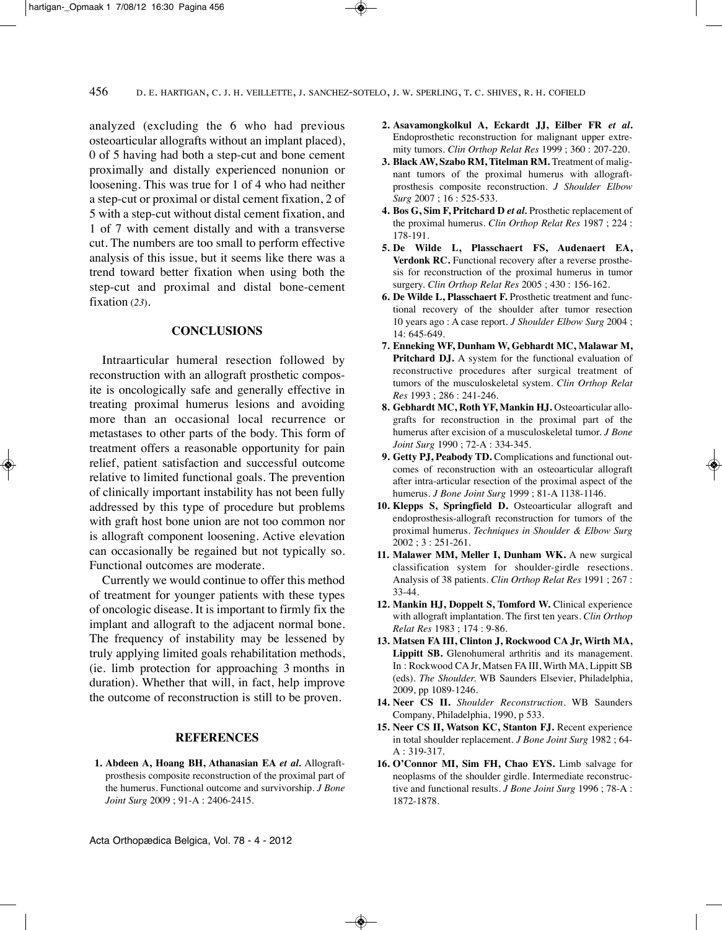analyzed (excluding the 6 who had previous osteoarticular allografts without an implant placed), 0 of 5 having had both a step-cut and bone cement proximally and distally experienced nonunion or loosening. This was true for 1 of 4 who had neither a step-cut or proximal or distal cement fixation, 2 of 5 with a step-cut without distal cement fixation, and 1 of 7 with cement distally and with a transverse cut. The numbers are too small to perform effective analysis of this issue, but it seems like there was a trend toward better fixation when using both the step-cut and proximal and distal bone-cement fixation (*23*).

# **CONCLUSIONS**

Intraarticular humeral resection followed by reconstruction with an allograft prosthetic composite is oncologically safe and generally effective in treating proximal humerus lesions and avoiding more than an occasional local recurrence or metastases to other parts of the body. This form of treatment offers a reasonable opportunity for pain relief, patient satisfaction and successful outcome relative to limited functional goals. The prevention of clinically important instability has not been fully addressed by this type of procedure but problems with graft host bone union are not too common nor is allograft component loosening. Active elevation can occasionally be regained but not typically so. Functional outcomes are moderate.

Currently we would continue to offer this method of treatment for younger patients with these types of oncologic disease. it is important to firmly fix the implant and allograft to the adjacent normal bone. The frequency of instability may be lessened by truly applying limited goals rehabilitation methods, (ie. limb protection for approaching 3 months in duration). Whether that will, in fact, help improve the outcome of reconstruction is still to be proven.

### **REFERENCES**

**1. Abdeen A, Hoang BH, Athanasian EA** *et al.* Allograftprosthesis composite reconstruction of the proximal part of the humerus. Functional outcome and survivorship. *J Bone Joint Surg* 2009 ; 91-A : 2406-2415.

- **2. Asavamongkolkul A, Eckardt JJ, Eilber FR** *et al***.** Endoprosthetic reconstruction for malignant upper extremity tumors. *Clin Orthop Relat Res* 1999 ; 360 : 207-220.
- **3. Black AW, Szabo RM, Titelman RM.** Treatment of malignant tumors of the proximal humerus with allograftprosthesis composite reconstruction. *J Shoulder Elbow Surg* 2007 ; 16 : 525-533.
- **4. Bos G, Sim F, Pritchard D** *et al.* prosthetic replacement of the proximal humerus. *Clin Orthop Relat Res* 1987 ; 224 : 178-191.
- **5. De Wilde L, Plasschaert FS, Audenaert EA, Verdonk RC.** Functional recovery after a reverse prosthesis for reconstruction of the proximal humerus in tumor surgery. *Clin Orthop Relat Res* 2005 ; 430 : 156-162.
- **6. De Wilde L, Plasschaert F.** prosthetic treatment and functional recovery of the shoulder after tumor resection 10 years ago : A case report. *J Shoulder Elbow Surg* 2004 ; 14: 645-649.
- **7. Enneking WF, Dunham W, Gebhardt MC, Malawar M, Pritchard DJ.** A system for the functional evaluation of reconstructive procedures after surgical treatment of tumors of the musculoskeletal system. *Clin Orthop Relat Res* 1993 ; 286 : 241-246.
- **8. Gebhardt MC, Roth YF, Mankin HJ.** Osteoarticular allografts for reconstruction in the proximal part of the humerus after excision of a musculoskeletal tumor. *J Bone Joint Surg* 1990 ; 72-A : 334-345.
- **9. Getty PJ, Peabody TD.** Complications and functional outcomes of reconstruction with an osteoarticular allograft after intra-articular resection of the proximal aspect of the humerus. *J Bone Joint Surg* 1999 ; 81-A 1138-1146.
- **10. Klepps S, Springfield D.** Osteoarticular allograft and endoprosthesis-allograft reconstruction for tumors of the proximal humerus. *Techniques in Shoulder & Elbow Surg* 2002 ; 3 : 251-261.
- **11. Malawer MM, Meller I, Dunham WK.** A new surgical classification system for shoulder-girdle resections. Analysis of 38 patients. *Clin Orthop Relat Res* 1991 ; 267 : 33-44.
- **12. Mankin HJ, Doppelt S, Tomford W.** Clinical experience with allograft implantation. The first ten years. *Clin Orthop Relat Res* 1983 ; 174 : 9-86.
- **13. Matsen FA III, Clinton J, Rockwood CA Jr, Wirth MA,** Lippitt SB. Glenohumeral arthritis and its management. In : Rockwood CA Jr, Matsen FA III, Wirth MA, Lippitt SB (eds). *The Shoulder.* WB Saunders Elsevier, philadelphia, 2009, pp 1089-1246.
- **14. Neer CS II.** *Shoulder Reconstruction*. WB Saunders Company, philadelphia, 1990, p 533.
- **15. Neer CS II, Watson KC, Stanton FJ.** Recent experience in total shoulder replacement. *J Bone Joint Surg* 1982 ; 64- A : 319-317.
- **16. O'Connor MI, Sim FH, Chao EYS.** limb salvage for neoplasms of the shoulder girdle. Intermediate reconstructive and functional results. *J Bone Joint Surg* 1996 ; 78-A : 1872-1878.